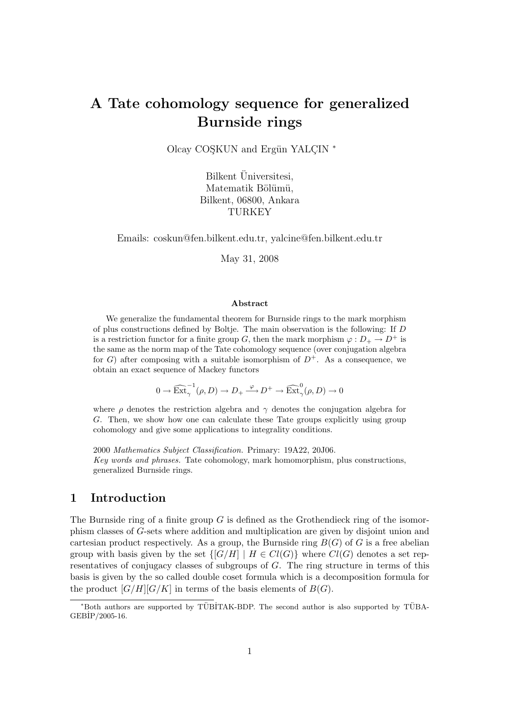# A Tate cohomology sequence for generalized Burnside rings

Olcay COSKUN and Ergün YALCIN \*

Bilkent Üniversitesi, Matematik Bölümü, Bilkent, 06800, Ankara TURKEY

Emails: coskun@fen.bilkent.edu.tr, yalcine@fen.bilkent.edu.tr

May 31, 2008

#### Abstract

We generalize the fundamental theorem for Burnside rings to the mark morphism of plus constructions defined by Boltje. The main observation is the following: If D is a restriction functor for a finite group G, then the mark morphism  $\varphi : D_+ \to D^+$  is the same as the norm map of the Tate cohomology sequence (over conjugation algebra for G) after composing with a suitable isomorphism of  $D^+$ . As a consequence, we obtain an exact sequence of Mackey functors

 $0 \to \widehat{\text{Ext}}_{\gamma}^{-1}(\rho, D) \to D_+ \xrightarrow{\varphi} D^+ \to \widehat{\text{Ext}}_{\gamma}^0(\rho, D) \to 0$ 

where  $\rho$  denotes the restriction algebra and  $\gamma$  denotes the conjugation algebra for G. Then, we show how one can calculate these Tate groups explicitly using group cohomology and give some applications to integrality conditions.

2000 Mathematics Subject Classification. Primary: 19A22, 20J06. Key words and phrases. Tate cohomology, mark homomorphism, plus constructions, generalized Burnside rings.

### 1 Introduction

The Burnside ring of a finite group  $G$  is defined as the Grothendieck ring of the isomorphism classes of G-sets where addition and multiplication are given by disjoint union and cartesian product respectively. As a group, the Burnside ring  $B(G)$  of G is a free abelian group with basis given by the set  $\{[G/H] \mid H \in Cl(G)\}$  where  $Cl(G)$  denotes a set representatives of conjugacy classes of subgroups of G. The ring structure in terms of this basis is given by the so called double coset formula which is a decomposition formula for the product  $[G/H][G/K]$  in terms of the basis elements of  $B(G)$ .

<sup>\*</sup>Both authors are supported by TÜBİTAK-BDP. The second author is also supported by TÜBA-GEB˙IP/2005-16.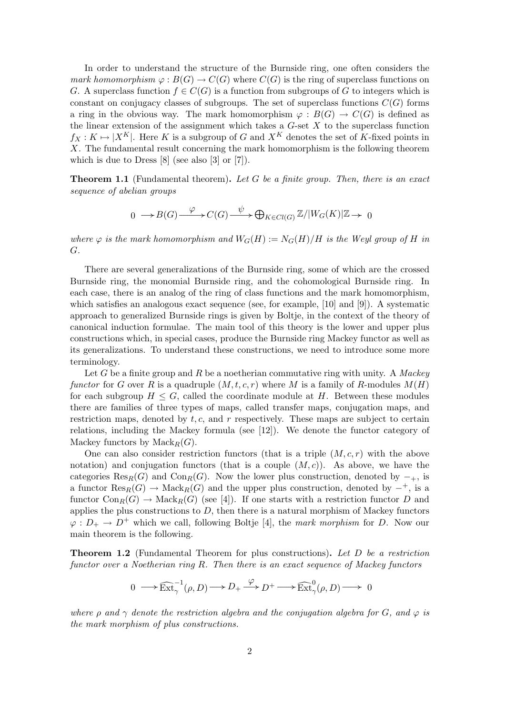In order to understand the structure of the Burnside ring, one often considers the mark homomorphism  $\varphi : B(G) \to C(G)$  where  $C(G)$  is the ring of superclass functions on G. A superclass function  $f \in C(G)$  is a function from subgroups of G to integers which is constant on conjugacy classes of subgroups. The set of superclass functions  $C(G)$  forms a ring in the obvious way. The mark homomorphism  $\varphi : B(G) \to C(G)$  is defined as the linear extension of the assignment which takes a  $G$ -set  $X$  to the superclass function  $f_X: K \mapsto |X^K|$ . Here K is a subgroup of G and  $X^K$  denotes the set of K-fixed points in X. The fundamental result concerning the mark homomorphism is the following theorem which is due to Dress [8] (see also [3] or [7]).

**Theorem 1.1** (Fundamental theorem). Let G be a finite group. Then, there is an exact sequence of abelian groups

$$
0 \longrightarrow B(G) \xrightarrow{\varphi} C(G) \xrightarrow{\psi} \bigoplus_{K \in Cl(G)} \mathbb{Z}/|W_G(K)|\mathbb{Z} \longrightarrow 0
$$

where  $\varphi$  is the mark homomorphism and  $W_G(H) := N_G(H)/H$  is the Weyl group of H in G.

There are several generalizations of the Burnside ring, some of which are the crossed Burnside ring, the monomial Burnside ring, and the cohomological Burnside ring. In each case, there is an analog of the ring of class functions and the mark homomorphism, which satisfies an analogous exact sequence (see, for example, [10] and [9]). A systematic approach to generalized Burnside rings is given by Boltje, in the context of the theory of canonical induction formulae. The main tool of this theory is the lower and upper plus constructions which, in special cases, produce the Burnside ring Mackey functor as well as its generalizations. To understand these constructions, we need to introduce some more terminology.

Let G be a finite group and R be a noetherian commutative ring with unity. A Mackey functor for G over R is a quadruple  $(M, t, c, r)$  where M is a family of R-modules  $M(H)$ for each subgroup  $H \leq G$ , called the coordinate module at H. Between these modules there are families of three types of maps, called transfer maps, conjugation maps, and restriction maps, denoted by  $t, c$ , and  $r$  respectively. These maps are subject to certain relations, including the Mackey formula (see [12]). We denote the functor category of Mackey functors by  $\mathrm{Mack}_R(G)$ .

One can also consider restriction functors (that is a triple  $(M, c, r)$  with the above notation) and conjugation functors (that is a couple  $(M, c)$ ). As above, we have the categories Res<sub>R</sub>(G) and Con<sub>R</sub>(G). Now the lower plus construction, denoted by  $-$ <sub>+</sub>, is a functor  $\text{Res}_{R}(G) \to \text{Mack}_{R}(G)$  and the upper plus construction, denoted by  $-$ <sup>+</sup>, is a functor  $Con_R(G) \to Mack_R(G)$  (see [4]). If one starts with a restriction functor D and applies the plus constructions to  $D$ , then there is a natural morphism of Mackey functors  $\varphi : D_+ \to D^+$  which we call, following Boltje [4], the mark morphism for D. Now our main theorem is the following.

**Theorem 1.2** (Fundamental Theorem for plus constructions). Let D be a restriction functor over a Noetherian ring R. Then there is an exact sequence of Mackey functors

$$
0\longrightarrow \widehat{\mathop{\rm Ext}\nolimits}^{-1}_{\gamma}(\rho,D) \longrightarrow D_+ \stackrel{\varphi}{\longrightarrow} D^+ \longrightarrow \widehat{\mathop{\rm Ext}\nolimits}^0_{\gamma}(\rho,D) \longrightarrow 0
$$

where  $\rho$  and  $\gamma$  denote the restriction algebra and the conjugation algebra for G, and  $\varphi$  is the mark morphism of plus constructions.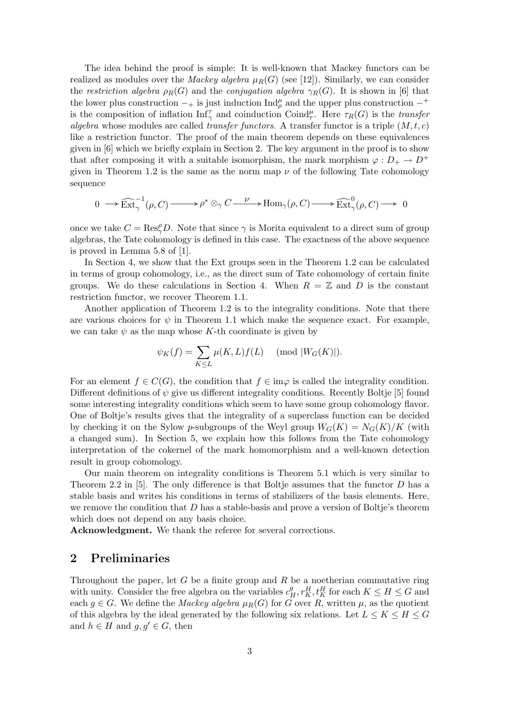The idea behind the proof is simple: It is well-known that Mackey functors can be realized as modules over the *Mackey algebra*  $\mu_R(G)$  (see [12]). Similarly, we can consider the restriction algebra  $\rho_R(G)$  and the conjugation algebra  $\gamma_R(G)$ . It is shown in [6] that the lower plus construction  $-$  is just induction Ind<sup>µ</sup> and the upper plus construction  $-$ <sup>+</sup> is the composition of inflation  $\text{Inf}_{\gamma}^{\tau}$  and coinduction  $\text{Coind}_{\tau}^{\mu}$ . Here  $\tau_R(G)$  is the *transfer* algebra whose modules are called transfer functors. A transfer functor is a triple  $(M, t, c)$ like a restriction functor. The proof of the main theorem depends on these equivalences given in [6] which we briefly explain in Section 2. The key argument in the proof is to show that after composing it with a suitable isomorphism, the mark morphism  $\varphi : D_+ \to D^+$ given in Theorem 1.2 is the same as the norm map  $\nu$  of the following Tate cohomology sequence

$$
0\;\longrightarrow\widehat{\mathop{\rm Ext}\nolimits}^{-1}_\gamma(\rho,C)\xrightarrow{\qquad\quad}\rho^*\otimes_\gamma C\xrightarrow{\;\;\nu\;\;}\operatorname{Hom}\nolimits_\gamma(\rho,C)\xrightarrow{\qquad\quad}\widehat{\mathop{\rm Ext}\nolimits}^0_\gamma(\rho,C)\xrightarrow{\qquad\quad}0
$$

once we take  $C = \text{Res}_{\gamma}^{\rho}D$ . Note that since  $\gamma$  is Morita equivalent to a direct sum of group algebras, the Tate cohomology is defined in this case. The exactness of the above sequence is proved in Lemma 5.8 of [1].

In Section 4, we show that the Ext groups seen in the Theorem 1.2 can be calculated in terms of group cohomology, i.e., as the direct sum of Tate cohomology of certain finite groups. We do these calculations in Section 4. When  $R = \mathbb{Z}$  and D is the constant restriction functor, we recover Theorem 1.1.

Another application of Theorem 1.2 is to the integrality conditions. Note that there are various choices for  $\psi$  in Theorem 1.1 which make the sequence exact. For example, we can take  $\psi$  as the map whose K-th coordinate is given by

$$
\psi_K(f) = \sum_{K \le L} \mu(K, L) f(L) \pmod{|W_G(K)|}.
$$

For an element  $f \in C(G)$ , the condition that  $f \in \text{im}\varphi$  is called the integrality condition. Different definitions of  $\psi$  give us different integrality conditions. Recently Boltje [5] found some interesting integrality conditions which seem to have some group cohomology flavor. One of Boltje's results gives that the integrality of a superclass function can be decided by checking it on the Sylow p-subgroups of the Weyl group  $W_G(K) = N_G(K)/K$  (with a changed sum). In Section 5, we explain how this follows from the Tate cohomology interpretation of the cokernel of the mark homomorphism and a well-known detection result in group cohomology.

Our main theorem on integrality conditions is Theorem 5.1 which is very similar to Theorem 2.2 in [5]. The only difference is that Boltje assumes that the functor  $D$  has a stable basis and writes his conditions in terms of stabilizers of the basis elements. Here, we remove the condition that  $D$  has a stable-basis and prove a version of Boltje's theorem which does not depend on any basis choice.

Acknowledgment. We thank the referee for several corrections.

#### 2 Preliminaries

Throughout the paper, let  $G$  be a finite group and  $R$  be a noetherian commutative ring with unity. Consider the free algebra on the variables  $c_H^g, r_K^H, t_K^H$  for each  $K \leq H \leq G$  and each  $g \in G$ . We define the *Mackey algebra*  $\mu_R(G)$  for G over R, written  $\mu$ , as the quotient of this algebra by the ideal generated by the following six relations. Let  $L \leq K \leq H \leq G$ and  $h \in H$  and  $g, g' \in G$ , then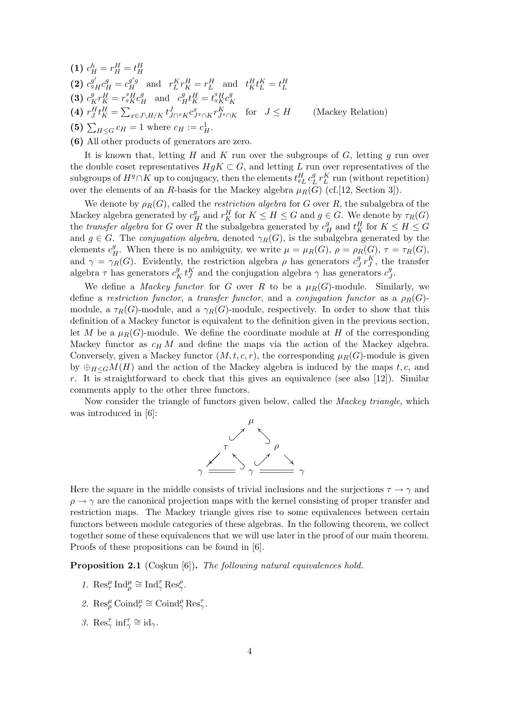- (1)  $c_H^h = r_H^H = t_H^H$ (2)  $c_{gH}^{g'}c_H^g = c_H^{g'g}$  and  $r_L^K r_K^H = r_L^H$  and  $t_K^H t_L^K = t_L^H$ (3)  $c_K^gr_K^H = r_g^g K^g_H$  and  $c_H^g t_K^H = t_g^g K^g_H$ K (4)  $r_J^H t_K^H =$  $\overline{\phantom{a}}$  $\lim_{x \in J \setminus H/K} t_{J \cap {^x}K}^J c_{J \cap K}^x r_{J \cap K}^K$  for  $J \leq H$  (Mackey Relation) (5)  $\sum_{H \leq G} c_H = 1$  where  $c_H := c_H^1$ .
- (6) All other products of generators are zero.

It is known that, letting H and K run over the subgroups of G, letting q run over the double coset representatives  $HgK \subset G$ , and letting L run over representatives of the subgroups of  $H^g \cap \tilde{K}$  up to conjugacy, then the elements  $t^H_{gL} c^g_L$  $L^g L^r$  run (without repetition) over the elements of an R-basis for the Mackey algebra  $\mu_R(G)$  (cf. [12, Section 3]).

We denote by  $\rho_R(G)$ , called the *restriction algebra* for G over R, the subalgebra of the Mackey algebra generated by  $c_H^g$  and  $r_K^H$  for  $K \leq H \leq G$  and  $g \in G$ . We denote by  $\tau_R(G)$ the transfer algebra for G over R the subalgebra generated by  $c_H^g$  and  $t_K^H$  for  $K \leq H \leq G$ and  $g \in G$ . The conjugation algebra, denoted  $\gamma_R(G)$ , is the subalgebra generated by the elements  $c_H^g$ . When there is no ambiguity, we write  $\mu = \mu_R(G)$ ,  $\rho = \rho_R(G)$ ,  $\tau = \tau_R(G)$ , and  $\gamma = \gamma_R(G)$ . Evidently, the restriction algebra  $\rho$  has generators  $c_j^g$  $\int^g T J$ , the transfer algebra  $\tau$  has generators  $c_K^g t_J^K$  and the conjugation algebra  $\gamma$  has generators  $c_J^g$  $^g_J.$ 

We define a *Mackey functor* for G over R to be a  $\mu_R(G)$ -module. Similarly, we define a restriction functor, a transfer functor, and a conjugation functor as a  $\rho_R(G)$ module, a  $\tau_R(G)$ -module, and a  $\gamma_R(G)$ -module, respectively. In order to show that this definition of a Mackey functor is equivalent to the definition given in the previous section, let M be a  $\mu_R(G)$ -module. We define the coordinate module at H of the corresponding Mackey functor as  $c_H M$  and define the maps via the action of the Mackey algebra. Conversely, given a Mackey functor  $(M, t, c, r)$ , the corresponding  $\mu_R(G)$ -module is given by  $\bigoplus_{H\leq G}M(H)$  and the action of the Mackey algebra is induced by the maps t, c, and r. It is straightforward to check that this gives an equivalence (see also  $[12]$ ). Similar comments apply to the other three functors.

Now consider the triangle of functors given below, called the Mackey triangle, which was introduced in [6]:



Here the square in the middle consists of trivial inclusions and the surjections  $\tau \to \gamma$  and  $\rho \rightarrow \gamma$  are the canonical projection maps with the kernel consisting of proper transfer and restriction maps. The Mackey triangle gives rise to some equivalences between certain functors between module categories of these algebras. In the following theorem, we collect together some of these equivalences that we will use later in the proof of our main theorem. Proofs of these propositions can be found in [6].

**Proposition 2.1** (Coşkun  $[6]$ ). The following natural equivalences hold.

- 1.  $\text{Res}_{\tau}^{\mu} \text{Ind}_{\rho}^{\mu} \cong \text{Ind}_{\gamma}^{\tau} \text{Res}_{\gamma}^{\rho}$ .
- 2.  $\operatorname{Res}_{\rho}^{\mu} \operatorname{Coind}_{\tau}^{\mu} \cong \operatorname{Coind}_{\gamma}^{\rho} \operatorname{Res}_{\gamma}^{\tau}$ .
- 3. Res<sup> $\tau$ </sup> inf $\tau$ <sup> $\tau$ </sup>  $\cong$  id<sub> $\gamma$ </sub>.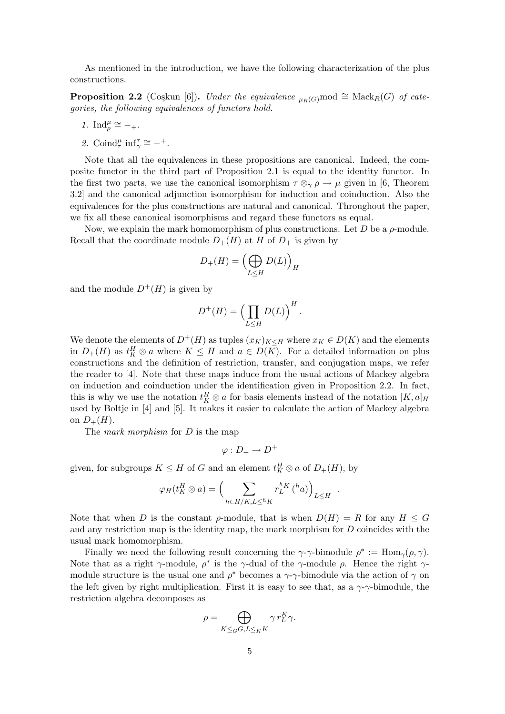As mentioned in the introduction, we have the following characterization of the plus constructions.

**Proposition 2.2** (Coşkun [6]). Under the equivalence  $_{\mu_B(G)}$  mod  $\cong$  Mack<sub>R</sub>(G) of categories, the following equivalences of functors hold.

1. 
$$
\text{Ind}_{\rho}^{\mu} \cong -_{+}.
$$

2. Coind $_{\tau}^{\mu}$  inf $_{\gamma}^{\tau} \cong -^{+}$ .

Note that all the equivalences in these propositions are canonical. Indeed, the composite functor in the third part of Proposition 2.1 is equal to the identity functor. In the first two parts, we use the canonical isomorphism  $\tau \otimes_{\gamma} \rho \to \mu$  given in [6, Theorem 3.2] and the canonical adjunction isomorphism for induction and coinduction. Also the equivalences for the plus constructions are natural and canonical. Throughout the paper, we fix all these canonical isomorphisms and regard these functors as equal.

Now, we explain the mark homomorphism of plus constructions. Let  $D$  be a  $\rho$ -module. Recall that the coordinate module  $D_{+}(H)$  at H of  $D_{+}$  is given by

$$
D_+(H) = \left(\bigoplus_{L\leq H} D(L)\right)_H
$$

and the module  $D^{+}(H)$  is given by

$$
D^+(H) = \left(\prod_{L \le H} D(L)\right)^H.
$$

We denote the elements of  $D^+(H)$  as tuples  $(x_K)_{K\leq H}$  where  $x_K \in D(K)$  and the elements in  $D_+(H)$  as  $t_K^H \otimes a$  where  $K \leq H$  and  $a \in D(K)$ . For a detailed information on plus constructions and the definition of restriction, transfer, and conjugation maps, we refer the reader to [4]. Note that these maps induce from the usual actions of Mackey algebra on induction and coinduction under the identification given in Proposition 2.2. In fact, this is why we use the notation  $t_K^H \otimes a$  for basis elements instead of the notation  $[K, a]_H$ used by Boltje in [4] and [5]. It makes it easier to calculate the action of Mackey algebra on  $D_+(H)$ .

The *mark morphism* for *D* is the map

$$
\varphi: D_+ \to D^+
$$

given, for subgroups  $K \leq H$  of G and an element  $t_K^H \otimes a$  of  $D_+(H)$ , by

$$
\varphi_H(t_K^H \otimes a) = \left(\sum_{h \in H/K, L \leq^h K} r_L^{hK} \binom{h_a}{h}\right)_{L \leq H}.
$$

Note that when D is the constant  $\rho$ -module, that is when  $D(H) = R$  for any  $H \leq G$ and any restriction map is the identity map, the mark morphism for  $D$  coincides with the usual mark homomorphism.

Finally we need the following result concerning the  $\gamma$ -γ-bimodule  $\rho^* := \text{Hom}_{\gamma}(\rho, \gamma)$ . Note that as a right  $\gamma$ -module,  $\rho^*$  is the  $\gamma$ -dual of the  $\gamma$ -module  $\rho$ . Hence the right  $\gamma$ module structure is the usual one and  $\rho^*$  becomes a  $\gamma$ - $\gamma$ -bimodule via the action of  $\gamma$  on the left given by right multiplication. First it is easy to see that, as a  $\gamma$ - $\gamma$ -bimodule, the restriction algebra decomposes as

$$
\rho = \bigoplus_{K \leq_G G, L \leq_K K} \gamma r_L^K \gamma.
$$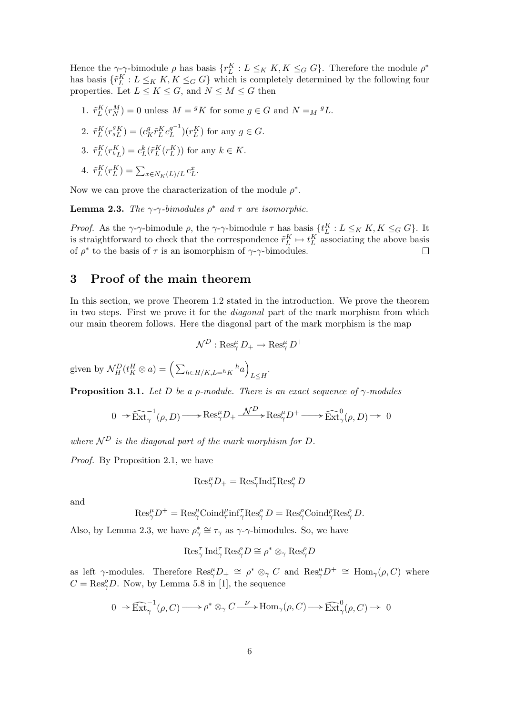Hence the  $\gamma$ - $\gamma$ -bimodule  $\rho$  has basis  $\{r_L^K: L \leq_K K, K \leq_G G\}$ . Therefore the module  $\rho^*$ has basis  $\{\tilde{r}_L^K : L \leq_K K, K \leq_G G\}$  which is completely determined by the following four properties. Let  $L \leq K \leq G$ , and  $N \leq M \leq G$  then

1.  $\tilde{r}_L^K(r_N^M) = 0$  unless  $M = {}^gK$  for some  $g \in G$  and  $N = _M {}^gL$ .

2. 
$$
\tilde{r}_L^K(r_{gL}^{gK}) = (c_K^g \tilde{r}_L^K c_L^{g^{-1}})(r_L^K)
$$
 for any  $g \in G$ .

3.  $\tilde{r}_L^K(r_{k_L}^K) = c_L^k(\tilde{r}_L^K(r_L^K))$  for any  $k \in K$ .

4. 
$$
\tilde{r}_L^K(r_L^K) = \sum_{x \in N_K(L)/L} c_L^x
$$

Now we can prove the characterization of the module  $\rho^*$ .

**Lemma 2.3.** The  $\gamma$ - $\gamma$ -bimodules  $\rho^*$  and  $\tau$  are isomorphic.

.

*Proof.* As the  $\gamma$ - $\gamma$ -bimodule  $\rho$ , the  $\gamma$ - $\gamma$ -bimodule  $\tau$  has basis  $\{t_L^K : L \leq_K K, K \leq_G G\}$ . It is straightforward to check that the correspondence  $\tilde{r}_L^K \mapsto t_L^K$  associating the above basis of  $\rho^*$  to the basis of  $\tau$  is an isomorphism of  $\gamma$ - $\gamma$ -bimodules.

#### 3 Proof of the main theorem

In this section, we prove Theorem 1.2 stated in the introduction. We prove the theorem in two steps. First we prove it for the diagonal part of the mark morphism from which our main theorem follows. Here the diagonal part of the mark morphism is the map

$$
\mathcal{N}^D: \operatorname{Res}_{\gamma}^{\mu} D_+ \to \operatorname{Res}_{\gamma}^{\mu} D^+
$$

given by  $\mathcal{N}_H^D(t_K^H \otimes a) = \Big(\sum_{h \in H/K, L=h_K} h_a\Big)$ ´  $L \leq H$ 

**Proposition 3.1.** Let D be a *ρ*-module. There is an exact sequence of  $\gamma$ -modules

$$
0\;\; \widehat{~} \in \widehat{{\rm Ext}}_{\gamma}^{-1}(\rho,D) \longrightarrow {\rm Res}_{\gamma}^{\mu}D_+ \xrightarrow{\ \mathcal{N}^{D\ \ } } {\rm Res}_{\gamma}^{\mu}D^+ \xrightarrow{\ \ } \widehat{{\rm Ext}}_{\gamma}^{0}(\rho,D) \to \;\; 0
$$

where  $\mathcal{N}^D$  is the diagonal part of the mark morphism for D.

Proof. By Proposition 2.1, we have

$$
\text{Res}_{\gamma}^{\mu}D_{+}=\text{Res}_{\gamma}^{\tau}\text{Ind}_{\gamma}^{\tau}\text{Res}_{\gamma}^{\rho}D
$$

and

$$
\text{Res}_{\gamma}^{\mu} D^{+} = \text{Res}_{\gamma}^{\mu} \text{Coind}_{\tau}^{\mu} \text{inf}_{\gamma}^{\tau} \text{Res}_{\gamma}^{\rho} D = \text{Res}_{\gamma}^{\rho} \text{Coind}_{\gamma}^{\rho} \text{Res}_{\gamma}^{\rho} D.
$$

Also, by Lemma 2.3, we have  $\rho_{\gamma}^* \cong \tau_{\gamma}$  as  $\gamma$ - $\gamma$ -bimodules. So, we have

$$
\operatorname{Res}_{\gamma}^{\tau} \operatorname{Ind}_{\gamma}^{\tau} \operatorname{Res}_{\gamma}^{\rho} D \cong \rho^* \otimes_{\gamma} \operatorname{Res}_{\gamma}^{\rho} D
$$

as left  $\gamma$ -modules. Therefore  $\text{Res}_{\gamma}^{\mu}D_{+} \cong \rho^* \otimes_{\gamma} C$  and  $\text{Res}_{\gamma}^{\mu}D^{+} \cong \text{Hom}_{\gamma}(\rho, C)$  where  $C = \text{Res}_{\gamma}^{\rho}D$ . Now, by Lemma 5.8 in [1], the sequence

$$
0\;\to\widehat{\mathrm{Ext}}_{\gamma}^{-1}(\rho,C)\longrightarrow\rho^*\otimes_{\gamma} C\overset{\nu}{\longrightarrow}\mathrm{Hom}_{\gamma}(\rho,C)\longrightarrow\widehat{\mathrm{Ext}}_{\gamma}^{0}(\rho,C)\to\quad0
$$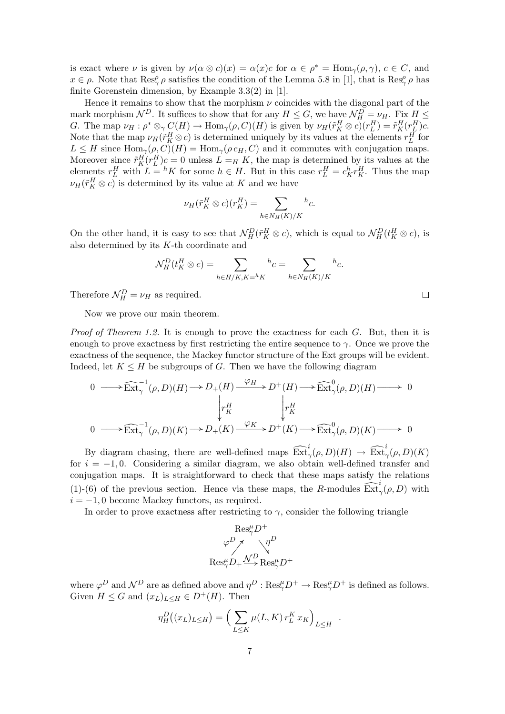is exact where  $\nu$  is given by  $\nu(\alpha \otimes c)(x) = \alpha(x)c$  for  $\alpha \in \rho^* = \text{Hom}_{\gamma}(\rho, \gamma), c \in C$ , and  $x \in \rho$ . Note that  $\text{Res}_{\gamma}^{\rho} \rho$  satisfies the condition of the Lemma 5.8 in [1], that is  $\text{Res}_{\gamma}^{\rho} \rho$  has finite Gorenstein dimension, by Example 3.3(2) in [1].

Hence it remains to show that the morphism  $\nu$  coincides with the diagonal part of the mark morphism  $\mathcal{N}^D$ . It suffices to show that for any  $H \leq G$ , we have  $\mathcal{N}_H^D = \nu_H$ . Fix  $H \leq$ G. The map  $\nu_H : \rho^* \otimes_{\gamma} C(H) \to \text{Hom}_{\gamma}(\rho, C)(H)$  is given by  $\nu_H(\tilde{r}_K^H \otimes c)(r_L^H) = \tilde{r}_K^H(r_L^H)c$ . Note that the map  $\nu_H(\tilde{r}_K^H \otimes c)$  is determined uniquely by its values at the elements  $r_L^H$  for  $L \leq H$  since  $\text{Hom}_{\gamma}(\rho, C)(H) = \text{Hom}_{\gamma}(\rho c_H, C)$  and it commutes with conjugation maps. Moreover since  $\tilde{r}_K^H(r_L^H)c = 0$  unless  $L = H K$ , the map is determined by its values at the elements  $r_L^H$  with  $L = hK$  for some  $h \in H$ . But in this case  $r_L^H = c_K^h r_K^H$ . Thus the map  $\nu_H(\tilde{r}_K^H \otimes c)$  is determined by its value at K and we have

$$
\nu_H(\tilde{r}_K^H \otimes c)(r_K^H) = \sum_{h \in N_H(K)/K} {}^h c.
$$

On the other hand, it is easy to see that  $\mathcal{N}_H^D(\tilde{r}_K^H \otimes c)$ , which is equal to  $\mathcal{N}_H^D(t_K^H \otimes c)$ , is also determined by its K-th coordinate and

$$
\mathcal{N}_H^D(t_K^H \otimes c) = \sum_{h \in H/K, K=h} k_c = \sum_{h \in N_H(K)/K} {}^h c.
$$

Therefore  $\mathcal{N}_H^D = \nu_H$  as required.

Now we prove our main theorem.

*Proof of Theorem 1.2.* It is enough to prove the exactness for each  $G$ . But, then it is enough to prove exactness by first restricting the entire sequence to  $\gamma$ . Once we prove the exactness of the sequence, the Mackey functor structure of the Ext groups will be evident. Indeed, let  $K \leq H$  be subgroups of G. Then we have the following diagram

$$
0 \longrightarrow \widehat{\operatorname{Ext}}_{\gamma}^{-1}(\rho, D)(H) \longrightarrow D_{+}(H) \xrightarrow{\varphi_{H}} D^{+}(H) \longrightarrow \widehat{\operatorname{Ext}}_{\gamma}^{0}(\rho, D)(H) \longrightarrow 0
$$
  

$$
\downarrow r_{K}^{H} \qquad \qquad \downarrow r_{K}^{H}
$$
  

$$
0 \longrightarrow \widehat{\operatorname{Ext}}_{\gamma}^{-1}(\rho, D)(K) \longrightarrow D_{+}(K) \xrightarrow{\varphi_{K}} D^{+}(K) \longrightarrow \widehat{\operatorname{Ext}}_{\gamma}^{0}(\rho, D)(K) \longrightarrow 0
$$

By diagram chasing, there are well-defined maps  $\widehat{\mathrm{Ext}}_{\gamma}^{i}(\rho, D)(H) \to \widehat{\mathrm{Ext}}_{\gamma}^{i}(\rho, D)(K)$ for  $i = -1, 0$ . Considering a similar diagram, we also obtain well-defined transfer and conjugation maps. It is straightforward to check that these maps satisfy the relations (1)-(6) of the previous section. Hence via these maps, the R-modules  $\widehat{\operatorname{Ext}}_{\gamma}^{i}(\rho, D)$  with  $i = -1, 0$  become Mackey functors, as required.

In order to prove exactness after restricting to  $\gamma$ , consider the following triangle

$$
\begin{array}{c}\n\operatorname{Res}_{\gamma}^{\mu}D^{+} \\
\varphi^{D}\nearrow \searrow \searrow \eta^{D} \\
\operatorname{Res}_{\gamma}^{\mu}D_{+}\xrightarrow{\Lambda^{\prime}D}\operatorname{Res}_{\gamma}^{\mu}D^{+}\n\end{array}
$$

where  $\varphi^D$  and  $\mathcal{N}^D$  are as defined above and  $\eta^D : \text{Res}_{\gamma}^{\mu}D^+ \to \text{Res}_{\gamma}^{\mu}D^+$  is defined as follows. Given  $H \leq G$  and  $(x_L)_{L \leq H} \in D^+(H)$ . Then

$$
\eta_H^D((x_L)_{L\leq H}) = \left(\sum_{L\leq K} \mu(L, K) r_L^K x_K\right)_{L\leq H} .
$$

| ٠<br>٠ |  |  |
|--------|--|--|
|        |  |  |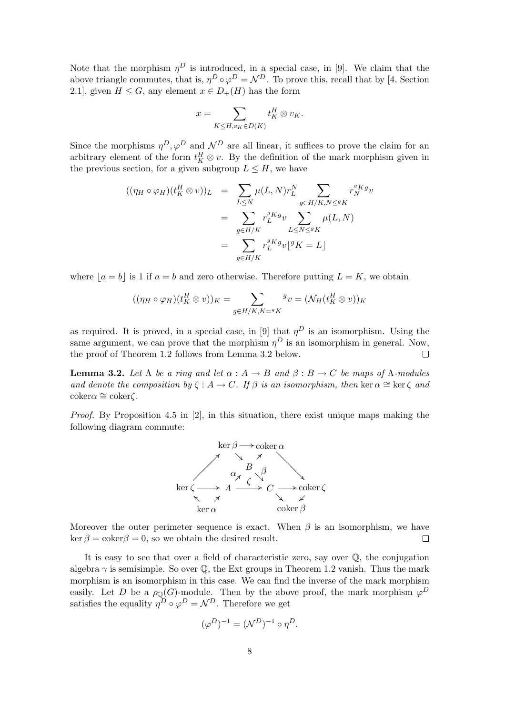Note that the morphism  $\eta^D$  is introduced, in a special case, in [9]. We claim that the above triangle commutes, that is,  $\eta^D \circ \varphi^D = \mathcal{N}^D$ . To prove this, recall that by [4, Section 2.1], given  $H \leq G$ , any element  $x \in D_{+}(H)$  has the form

$$
x = \sum_{K \leq H, v_K \in D(K)} t_K^H \otimes v_K.
$$

Since the morphisms  $\eta^D$ ,  $\varphi^D$  and  $\mathcal{N}^D$  are all linear, it suffices to prove the claim for an arbitrary element of the form  $t_K^H \otimes v$ . By the definition of the mark morphism given in the previous section, for a given subgroup  $L \leq H$ , we have

$$
((\eta_H \circ \varphi_H)(t_K^H \otimes v))_L = \sum_{L \le N} \mu(L, N)r_L^N \sum_{g \in H/K, N \le g_K} r_N^{g_K g} v
$$
  

$$
= \sum_{g \in H/K} r_L^{g_K g} v \sum_{L \le N \le g_K} \mu(L, N)
$$
  

$$
= \sum_{g \in H/K} r_L^{g_K g} v \lfloor g_K = L \rfloor
$$

where  $|a = b|$  is 1 if  $a = b$  and zero otherwise. Therefore putting  $L = K$ , we obtain

$$
((\eta_H \circ \varphi_H)(t_K^H \otimes v))_K = \sum_{g \in H/K, K = gK} g_v = (\mathcal{N}_H(t_K^H \otimes v))_K
$$

as required. It is proved, in a special case, in [9] that  $\eta^D$  is an isomorphism. Using the same argument, we can prove that the morphism  $\eta^D$  is an isomorphism in general. Now, the proof of Theorem 1.2 follows from Lemma 3.2 below.

**Lemma 3.2.** Let  $\Lambda$  be a ring and let  $\alpha : A \to B$  and  $\beta : B \to C$  be maps of  $\Lambda$ -modules and denote the composition by  $\zeta : A \to C$ . If  $\beta$  is an isomorphism, then ker  $\alpha \cong \ker \zeta$  and  $\coker \alpha \cong \coker \zeta$ .

*Proof.* By Proposition 4.5 in  $[2]$ , in this situation, there exist unique maps making the following diagram commute:



Moreover the outer perimeter sequence is exact. When  $\beta$  is an isomorphism, we have  $\ker \beta = \operatorname{coker} \beta = 0$ , so we obtain the desired result.  $\Box$ 

It is easy to see that over a field of characteristic zero, say over Q, the conjugation algebra  $\gamma$  is semisimple. So over  $\mathbb Q$ , the Ext groups in Theorem 1.2 vanish. Thus the mark morphism is an isomorphism in this case. We can find the inverse of the mark morphism easily. Let D be a  $\rho_{\mathbb{Q}}(G)$ -module. Then by the above proof, the mark morphism  $\varphi^D$ satisfies the equality  $\eta^D \circ \varphi^D = \mathcal{N}^D$ . Therefore we get

$$
(\varphi^D)^{-1} = (\mathcal{N}^D)^{-1} \circ \eta^D.
$$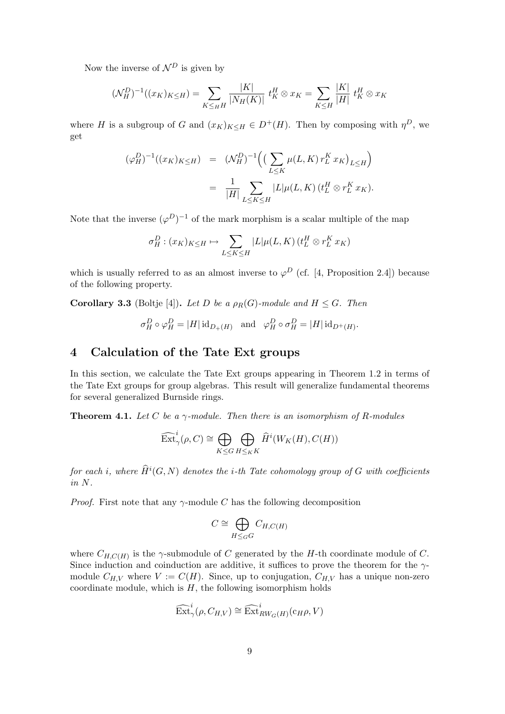Now the inverse of  $\mathcal{N}^D$  is given by

$$
(\mathcal{N}_H^D)^{-1}((x_K)_{K \le H}) = \sum_{K \le H} \frac{|K|}{|N_H(K)|} t_K^H \otimes x_K = \sum_{K \le H} \frac{|K|}{|H|} t_K^H \otimes x_K
$$

where H is a subgroup of G and  $(x_K)_{K\leq H} \in D^+(H)$ . Then by composing with  $\eta^D$ , we get

$$
\begin{array}{rcl} (\varphi^D_H)^{-1}((x_K)_{K \leq H}) & = & (\mathcal{N}^D_H)^{-1} \Big( \big( \sum_{L \leq K} \mu(L,K) \, r_L^K \, x_K \big)_{L \leq H} \Big) \\ \\ & = & \frac{1}{|H|} \sum_{L \leq K \leq H} |L| \mu(L,K) \, (t_L^H \otimes r_L^K \, x_K). \end{array}
$$

Note that the inverse  $(\varphi^D)^{-1}$  of the mark morphism is a scalar multiple of the map

$$
\sigma_H^D : (x_K)_{K \le H} \mapsto \sum_{L \le K \le H} |L|\mu(L, K) \left(t_L^H \otimes r_L^K x_K\right)
$$

which is usually referred to as an almost inverse to  $\varphi^D$  (cf. [4, Proposition 2.4]) because of the following property.

**Corollary 3.3** (Boltje [4]). Let D be a  $\rho_R(G)$ -module and  $H \leq G$ . Then

$$
\sigma_H^D \circ \varphi_H^D = |H| \operatorname{id}_{D_+(H)}
$$
 and  $\varphi_H^D \circ \sigma_H^D = |H| \operatorname{id}_{D^+(H)}$ .

## 4 Calculation of the Tate Ext groups

In this section, we calculate the Tate Ext groups appearing in Theorem 1.2 in terms of the Tate Ext groups for group algebras. This result will generalize fundamental theorems for several generalized Burnside rings.

**Theorem 4.1.** Let C be a  $\gamma$ -module. Then there is an isomorphism of R-modules

$$
\widehat{\mathrm{Ext}}_{\gamma}^{i}(\rho, C) \cong \bigoplus_{K \leq G} \bigoplus_{H \leq K} \widehat{H}^{i}(W_{K}(H), C(H))
$$

for each i, where  $\widehat{H}^i(G,N)$  denotes the i-th Tate cohomology group of  $G$  with coefficients in N.

*Proof.* First note that any  $\gamma$ -module C has the following decomposition

$$
C \cong \bigoplus_{H \leq_G G} C_{H,C(H)}
$$

where  $C_{H,C(H)}$  is the  $\gamma$ -submodule of C generated by the H-th coordinate module of C. Since induction and coinduction are additive, it suffices to prove the theorem for the  $\gamma$ module  $C_{H,V}$  where  $V := C(H)$ . Since, up to conjugation,  $C_{H,V}$  has a unique non-zero coordinate module, which is  $H$ , the following isomorphism holds

$$
\widehat{\operatorname{Ext}}^i_\gamma(\rho,C_{H,V})\cong\widehat{\operatorname{Ext}}^i_{RW_G(H)}(\mathbf{c}_H\rho,V)
$$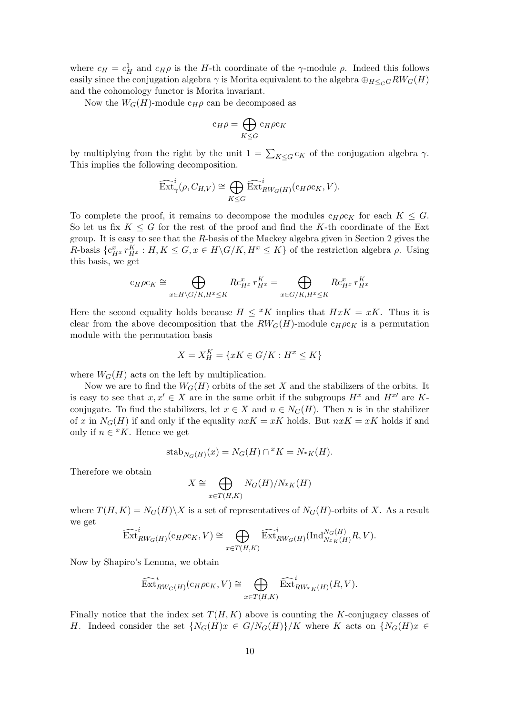where  $c_H = c_H^1$  and  $c_H \rho$  is the *H*-th coordinate of the  $\gamma$ -module  $\rho$ . Indeed this follows easily since the conjugation algebra  $\gamma$  is Morita equivalent to the algebra  $\bigoplus_{H \leq G} RW_G(H)$ and the cohomology functor is Morita invariant.

Now the  $W_G(H)$ -module  $c_H \rho$  can be decomposed as

$$
c_H \rho = \bigoplus_{K \leq G} c_H \rho c_K
$$

by multiplying from the right by the unit  $1 = \sum_{K \leq G} c_K$  of the conjugation algebra  $\gamma$ . This implies the following decomposition.

$$
\widehat{\operatorname{Ext}}_{\gamma}^i(\rho,C_{H,V})\cong \bigoplus_{K\leq G}\widehat{\operatorname{Ext}}_{RW_G(H)}^i(\mathbf{c}_H\rho\mathbf{c}_K,V).
$$

To complete the proof, it remains to decompose the modules  $c_H\rho c_K$  for each  $K \leq G$ . So let us fix  $K \leq G$  for the rest of the proof and find the K-th coordinate of the Ext group. It is easy to see that the R-basis of the Mackey algebra given in Section 2 gives the R-basis  $\{c_{H^x}^x r_{H^x}^K : H, K \leq G, x \in H \backslash G / K, H^x \leq K\}$  of the restriction algebra  $\rho$ . Using this basis, we get

$$
c_H \rho c_K \cong \bigoplus_{x \in H \backslash G / K, H^x \le K} R c_{H^x}^x r_{H^x}^K = \bigoplus_{x \in G / K, H^x \le K} R c_{H^x}^x r_{H^x}^K
$$

Here the second equality holds because  $H \leq K$  implies that  $HxK = xK$ . Thus it is clear from the above decomposition that the  $RW_G(H)$ -module  $c_H\rho c_K$  is a permutation module with the permutation basis

$$
X = X_H^K = \{ xK \in G/K : H^x \le K \}
$$

where  $W_G(H)$  acts on the left by multiplication.

Now we are to find the  $W_G(H)$  orbits of the set X and the stabilizers of the orbits. It is easy to see that  $x, x' \in X$  are in the same orbit if the subgroups  $H^x$  and  $H^{x'}$  are Kconjugate. To find the stabilizers, let  $x \in X$  and  $n \in N_G(H)$ . Then n is in the stabilizer of x in  $N_G(H)$  if and only if the equality  $nxK = xK$  holds. But  $nxK = xK$  holds if and only if  $n \in {^x}K$ . Hence we get

$$
stab_{N_G(H)}(x) = N_G(H) \cap {}^xK = N_{^xK}(H).
$$

Therefore we obtain

$$
X \cong \bigoplus_{x \in T(H,K)} N_G(H)/N_{^xK}(H)
$$

where  $T(H, K) = N_G(H) \backslash X$  is a set of representatives of  $N_G(H)$ -orbits of X. As a result we get  $\sim$ 

$$
\widehat{\operatorname{Ext}}_{RW_G(H)}^i(\operatorname{c}_{H}\rho\operatorname{c}_{K},V)\cong \bigoplus_{x\in T(H,K)}\widehat{\operatorname{Ext}}_{RW_G(H)}^i(\operatorname{Ind}_{Nx_K(H)}^{N_G(H)}R,V).
$$

Now by Shapiro's Lemma, we obtain

$$
\widehat{\mathrm{Ext}}_{RW_G(H)}^i(c_H\rho c_K,V)\cong \bigoplus_{x\in T(H,K)}\widehat{\mathrm{Ext}}_{RWx_K(H)}^i(R,V).
$$

Finally notice that the index set  $T(H, K)$  above is counting the K-conjugacy classes of H. Indeed consider the set  $\{N_G(H)x \in G/N_G(H)\}/K$  where K acts on  $\{N_G(H)x \in G/N_G(H)\}$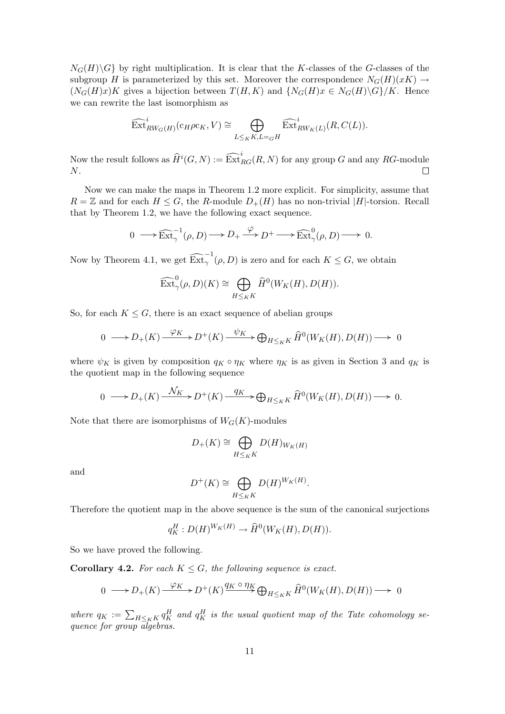$N_G(H)\backslash G$  by right multiplication. It is clear that the K-classes of the G-classes of the subgroup H is parameterized by this set. Moreover the correspondence  $N_G(H)(xK) \rightarrow$  $(N_G(H)x)K$  gives a bijection between  $T(H, K)$  and  $\{N_G(H)x \in N_G(H)\backslash G\}/K$ . Hence we can rewrite the last isomorphism as

$$
\widehat{\mathrm{Ext}}_{RW_G(H)}^i(c_H\rho c_K,V)\cong \bigoplus_{L\leq_K K, L=gH}\widehat{\mathrm{Ext}}_{RW_K(L)}^i(R,C(L)).
$$

Now the result follows as  $\widehat{H}^i(G,N) := \widehat{\operatorname{Ext}}_{RG}^i(R,N)$  for any group G and any  $RG$ -module N.  $\Box$ 

Now we can make the maps in Theorem 1.2 more explicit. For simplicity, assume that  $R = \mathbb{Z}$  and for each  $H \leq G$ , the R-module  $D_{+}(H)$  has no non-trivial  $|H|$ -torsion. Recall that by Theorem 1.2, we have the following exact sequence.

$$
0 \longrightarrow \widehat{\mathrm{Ext}}_{\gamma}^{-1}(\rho, D) \longrightarrow D_{+} \xrightarrow{\varphi} D^{+} \longrightarrow \widehat{\mathrm{Ext}}_{\gamma}^{0}(\rho, D) \longrightarrow 0.
$$

Now by Theorem 4.1, we get  $\widehat{\operatorname{Ext}}_{\gamma}^{-1}(\rho, D)$  is zero and for each  $K \leq G$ , we obtain

$$
\widehat{\text{Ext}}_{\gamma}^0(\rho, D)(K) \cong \bigoplus_{H \leq_K K} \widehat{H}^0(W_K(H), D(H)).
$$

So, for each  $K \leq G$ , there is an exact sequence of abelian groups

$$
0 \longrightarrow D_{+}(K) \xrightarrow{\varphi_{K}} D^{+}(K) \xrightarrow{\psi_{K}} \bigoplus_{H \leq_{K} K} \widehat{H}^{0}(W_{K}(H), D(H)) \longrightarrow 0
$$

where  $\psi_K$  is given by composition  $q_K \circ \eta_K$  where  $\eta_K$  is as given in Section 3 and  $q_K$  is the quotient map in the following sequence

$$
0 \longrightarrow D_{+}(K) \xrightarrow{\mathcal{N}_{K}} D^{+}(K) \xrightarrow{q_{K}} \bigoplus_{H \leq_{K} K} \widehat{H}^{0}(W_{K}(H), D(H)) \longrightarrow 0.
$$

Note that there are isomorphisms of  $W_G(K)$ -modules

$$
D_{+}(K) \cong \bigoplus_{H \leq K} D(H)_{W_{K}(H)}
$$

and

$$
D^+(K) \cong \bigoplus_{H \leq_K K} D(H)^{W_K(H)}.
$$

Therefore the quotient map in the above sequence is the sum of the canonical surjections

$$
q_K^H: D(H)^{W_K(H)} \to \widehat{H}^0(W_K(H), D(H)).
$$

So we have proved the following.

**Corollary 4.2.** For each  $K \leq G$ , the following sequence is exact.

$$
0 \longrightarrow D_{+}(K) \xrightarrow{\varphi_{K}} D^{+}(K) \xrightarrow{q_{K} \circ \eta_{K}} \bigoplus_{H \leq_{K} K} \widehat{H}^{0}(W_{K}(H), D(H)) \longrightarrow 0
$$

where  $q_K := \sum_{H \leq_K K} q_K^H$  and  $q_K^H$  is the usual quotient map of the Tate cohomology sequence for group algebras.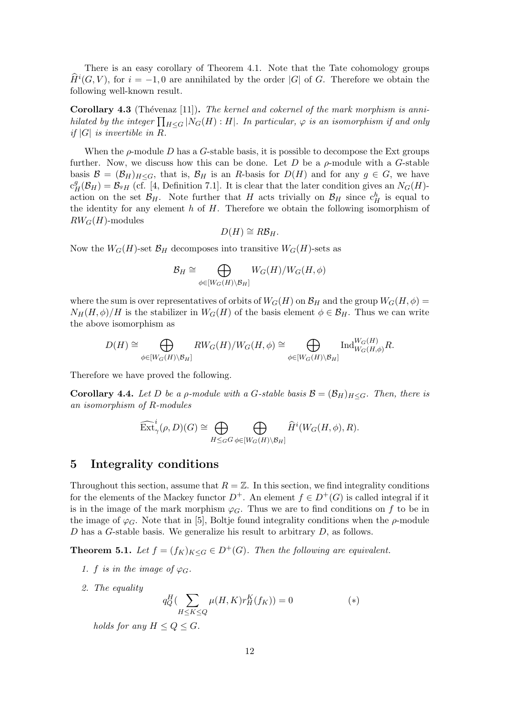There is an easy corollary of Theorem 4.1. Note that the Tate cohomology groups  $\widehat{H}^{i}(G, V)$ , for  $i = -1, 0$  are annihilated by the order |G| of G. Therefore we obtain the following well-known result.

**Corollary 4.3** (Thévenaz [11]). The kernel and cokernel of the mark morphism is anni-Coronary 4.5 (Thevenaz [11]). The kernet and cokernet by the mark morphism is annu-<br>hilated by the integer  $\prod_{H\leq G} |N_G(H):H|$ . In particular,  $\varphi$  is an isomorphism if and only if  $|G|$  is invertible in R.

When the  $\rho$ -module D has a G-stable basis, it is possible to decompose the Ext groups further. Now, we discuss how this can be done. Let  $D$  be a  $\rho$ -module with a G-stable basis  $\mathcal{B} = (\mathcal{B}_H)_{H\leq G}$ , that is,  $\mathcal{B}_H$  is an R-basis for  $D(H)$  and for any  $g \in G$ , we have  $c_H^g(\mathcal{B}_H) = \mathcal{B}_{g,H}$  (cf. [4, Definition 7.1]. It is clear that the later condition gives an  $N_G(H)$ action on the set  $\mathcal{B}_H$ . Note further that H acts trivially on  $\mathcal{B}_H$  since  $c_H^h$  is equal to the identity for any element  $h$  of  $H$ . Therefore we obtain the following isomorphism of  $RW_G(H)$ -modules

$$
D(H) \cong R\mathcal{B}_H.
$$

Now the  $W_G(H)$ -set  $\mathcal{B}_H$  decomposes into transitive  $W_G(H)$ -sets as

$$
\mathcal{B}_H \cong \bigoplus_{\phi \in [W_G(H) \setminus \mathcal{B}_H]} W_G(H) / W_G(H, \phi)
$$

where the sum is over representatives of orbits of  $W_G(H)$  on  $\mathcal{B}_H$  and the group  $W_G(H, \phi)$  $N_H(H, \phi)/H$  is the stabilizer in  $W_G(H)$  of the basis element  $\phi \in \mathcal{B}_H$ . Thus we can write the above isomorphism as

$$
D(H) \cong \bigoplus_{\phi \in [W_G(H) \setminus \mathcal{B}_H]} RW_G(H)/W_G(H, \phi) \cong \bigoplus_{\phi \in [W_G(H) \setminus \mathcal{B}_H]} \text{Ind}_{W_G(H, \phi)}^{W_G(H)} R.
$$

Therefore we have proved the following.

**Corollary 4.4.** Let D be a p-module with a G-stable basis  $\mathcal{B} = (\mathcal{B}_H)_{H \leq G}$ . Then, there is an isomorphism of R-modules

$$
\widehat{\operatorname{Ext}}_{\gamma}^i(\rho,D)(G) \cong \bigoplus_{H \leq_G G} \bigoplus_{\phi \in [W_G(H) \backslash \mathcal{B}_H]} \widehat{H}^i(W_G(H,\phi),R).
$$

#### 5 Integrality conditions

Throughout this section, assume that  $R = \mathbb{Z}$ . In this section, we find integrality conditions for the elements of the Mackey functor  $D^+$ . An element  $f \in D^+(G)$  is called integral if it is in the image of the mark morphism  $\varphi_G$ . Thus we are to find conditions on f to be in the image of  $\varphi_G$ . Note that in [5], Boltje found integrality conditions when the  $\rho$ -module  $D$  has a G-stable basis. We generalize his result to arbitrary  $D$ , as follows.

**Theorem 5.1.** Let  $f = (f_K)_{K \leq G} \in D^+(G)$ . Then the following are equivalent.

- 1. f is in the image of  $\varphi_G$ .
- 2. The equality

$$
q_Q^H(\sum_{H \le K \le Q} \mu(H, K)r_H^K(f_K)) = 0
$$
 (\*)

holds for any  $H \leq Q \leq G$ .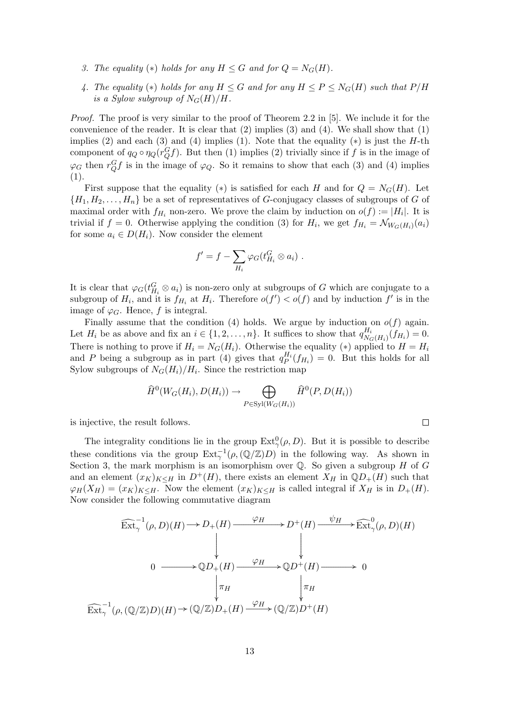- 3. The equality (\*) holds for any  $H \leq G$  and for  $Q = N_G(H)$ .
- 4. The equality (\*) holds for any  $H \leq G$  and for any  $H \leq P \leq N_G(H)$  such that  $P/H$ is a Sylow subgroup of  $N_G(H)/H$ .

Proof. The proof is very similar to the proof of Theorem 2.2 in [5]. We include it for the convenience of the reader. It is clear that  $(2)$  implies  $(3)$  and  $(4)$ . We shall show that  $(1)$ implies (2) and each (3) and (4) implies (1). Note that the equality  $(*)$  is just the H-th component of  $q_Q \circ \eta_Q(r_Q^G f)$ . But then (1) implies (2) trivially since if f is in the image of  $\varphi_G$  then  $r_Q^G f$  is in the image of  $\varphi_Q$ . So it remains to show that each (3) and (4) implies (1).

First suppose that the equality (\*) is satisfied for each H and for  $Q = N_G(H)$ . Let  $\{H_1, H_2, \ldots, H_n\}$  be a set of representatives of G-conjugacy classes of subgroups of G of maximal order with  $f_{H_i}$  non-zero. We prove the claim by induction on  $o(f) := |H_i|$ . It is trivial if  $f = 0$ . Otherwise applying the condition (3) for  $H_i$ , we get  $f_{H_i} = \mathcal{N}_{W_G(H_i)}(a_i)$ for some  $a_i \in D(H_i)$ . Now consider the element

$$
f' = f - \sum_{H_i} \varphi_G(t_{H_i}^G \otimes a_i) .
$$

It is clear that  $\varphi_G(t_{H_i}^G \otimes a_i)$  is non-zero only at subgroups of G which are conjugate to a subgroup of  $H_i$ , and it is  $f_{H_i}$  at  $H_i$ . Therefore  $o(f') < o(f)$  and by induction  $f'$  is in the image of  $\varphi_G$ . Hence, f is integral.

Finally assume that the condition (4) holds. We argue by induction on  $o(f)$  again. Let  $H_i$  be as above and fix an  $i \in \{1, 2, \ldots, n\}$ . It suffices to show that  $q_{N_c}^{H_i}$  $\frac{H_i}{N_G(H_i)}(f_{H_i})=0.$ There is nothing to prove if  $H_i = N_G(H_i)$ . Otherwise the equality (\*) applied to  $H = H_i$ and P being a subgroup as in part (4) gives that  $q_P^{H_i}(f_{H_i}) = 0$ . But this holds for all Sylow subgroups of  $N_G(H_i)/H_i$ . Since the restriction map

$$
\widehat{H}^0(W_G(H_i), D(H_i)) \to \bigoplus_{P \in \text{Syl}(W_G(H_i))} \widehat{H}^0(P, D(H_i))
$$

 $\Box$ 

is injective, the result follows.

The integrality conditions lie in the group  $\text{Ext}^0_\gamma(\rho,D)$ . But it is possible to describe these conditions via the group  $\text{Ext}^{-1}_{\gamma}(\rho,(\mathbb{Q}/\mathbb{Z})D)$  in the following way. As shown in Section 3, the mark morphism is an isomorphism over  $\mathbb Q$ . So given a subgroup  $H$  of  $G$ and an element  $(x_K)_{K\leq H}$  in  $D^+(H)$ , there exists an element  $X_H$  in  $\mathbb{Q}D_+(H)$  such that  $\varphi_H(X_H) = (x_K)_{K \leq H}$ . Now the element  $(x_K)_{K \leq H}$  is called integral if  $X_H$  is in  $D_+(H)$ . Now consider the following commutative diagram

$$
\widehat{\operatorname{Ext}}_{\gamma}^{-1}(\rho, D)(H) \longrightarrow D_{+}(H) \xrightarrow{\varphi_{H}} D^{+}(H) \xrightarrow{\psi_{H}} \widehat{\operatorname{Ext}}_{\gamma}^{0}(\rho, D)(H)
$$
\n
$$
0 \longrightarrow \mathbb{Q}D_{+}(H) \xrightarrow{\varphi_{H}} \mathbb{Q}D^{+}(H) \longrightarrow 0
$$
\n
$$
\downarrow_{\pi_{H}} \qquad \qquad \downarrow_{\pi_{H}}
$$
\n
$$
\widehat{\operatorname{Ext}}_{\gamma}^{-1}(\rho, (\mathbb{Q}/\mathbb{Z})D)(H) \rightarrow (\mathbb{Q}/\mathbb{Z})D_{+}(H) \xrightarrow{\varphi_{H}} (\mathbb{Q}/\mathbb{Z})D^{+}(H)
$$